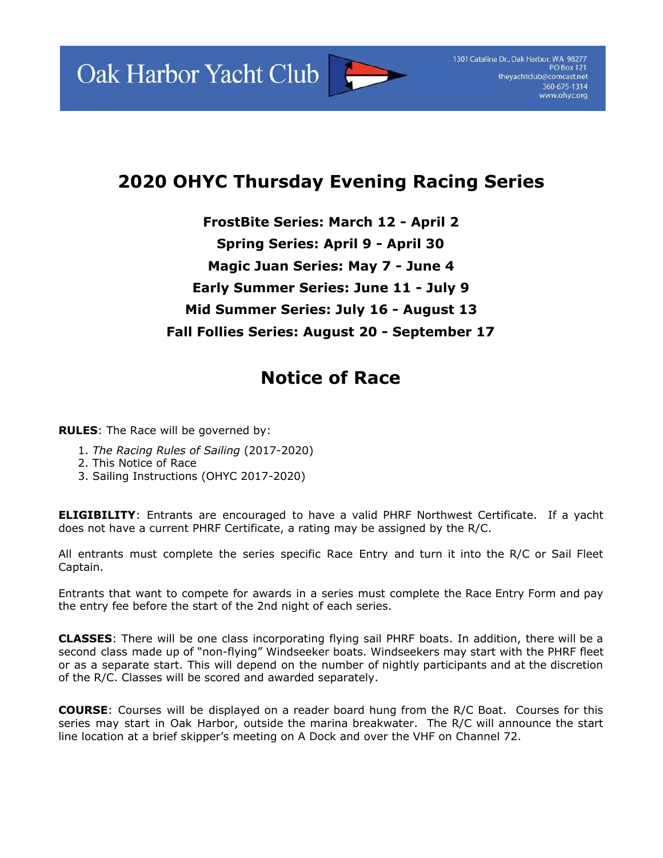Oak Harbor Yacht Club



## **2020 OHYC Thursday Evening Racing Series**

**FrostBite Series: March 12 - April 2 Spring Series: April 9 - April 30 Magic Juan Series: May 7 - June 4 Early Summer Series: June 11 - July 9 Mid Summer Series: July 16 - August 13 Fall Follies Series: August 20 - September 17**

## **Notice of Race**

**RULES**: The Race will be governed by:

- 1. *The Racing Rules of Sailing* (2017-2020)
- 2. This Notice of Race
- 3. Sailing Instructions (OHYC 2017-2020)

**ELIGIBILITY**: Entrants are encouraged to have a valid PHRF Northwest Certificate. If a yacht does not have a current PHRF Certificate, a rating may be assigned by the R/C.

All entrants must complete the series specific Race Entry and turn it into the R/C or Sail Fleet Captain.

Entrants that want to compete for awards in a series must complete the Race Entry Form and pay the entry fee before the start of the 2nd night of each series.

**CLASSES**: There will be one class incorporating flying sail PHRF boats. In addition, there will be a second class made up of "non-flying" Windseeker boats. Windseekers may start with the PHRF fleet or as a separate start. This will depend on the number of nightly participants and at the discretion of the R/C. Classes will be scored and awarded separately.

**COURSE**: Courses will be displayed on a reader board hung from the R/C Boat. Courses for this series may start in Oak Harbor, outside the marina breakwater. The R/C will announce the start line location at a brief skipper's meeting on A Dock and over the VHF on Channel 72.